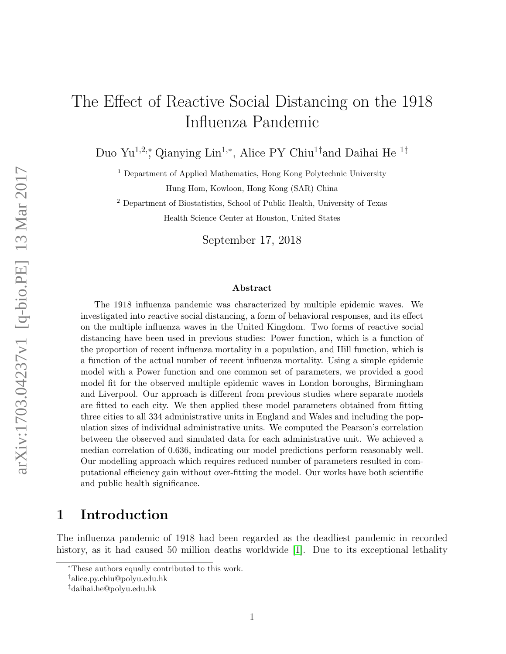# The Effect of Reactive Social Distancing on the 1918 Influenza Pandemic

Duo Yu<sup>1,2,</sup>\*, Qianying Lin<sup>1,∗</sup>, Alice PY Chiu<sup>1†</sup>and Daihai He<sup>1‡</sup>

<sup>1</sup> Department of Applied Mathematics, Hong Kong Polytechnic University Hung Hom, Kowloon, Hong Kong (SAR) China

<sup>2</sup> Department of Biostatistics, School of Public Health, University of Texas Health Science Center at Houston, United States

September 17, 2018

#### Abstract

The 1918 influenza pandemic was characterized by multiple epidemic waves. We investigated into reactive social distancing, a form of behavioral responses, and its effect on the multiple influenza waves in the United Kingdom. Two forms of reactive social distancing have been used in previous studies: Power function, which is a function of the proportion of recent influenza mortality in a population, and Hill function, which is a function of the actual number of recent influenza mortality. Using a simple epidemic model with a Power function and one common set of parameters, we provided a good model fit for the observed multiple epidemic waves in London boroughs, Birmingham and Liverpool. Our approach is different from previous studies where separate models are fitted to each city. We then applied these model parameters obtained from fitting three cities to all 334 administrative units in England and Wales and including the population sizes of individual administrative units. We computed the Pearson's correlation between the observed and simulated data for each administrative unit. We achieved a median correlation of 0.636, indicating our model predictions perform reasonably well. Our modelling approach which requires reduced number of parameters resulted in computational efficiency gain without over-fitting the model. Our works have both scientific and public health significance.

# 1 Introduction

The influenza pandemic of 1918 had been regarded as the deadliest pandemic in recorded history, as it had caused 50 million deaths worldwide [\[1\]](#page-9-0). Due to its exceptional lethality

<sup>∗</sup>These authors equally contributed to this work.

<sup>†</sup>alice.py.chiu@polyu.edu.hk

<sup>‡</sup>daihai.he@polyu.edu.hk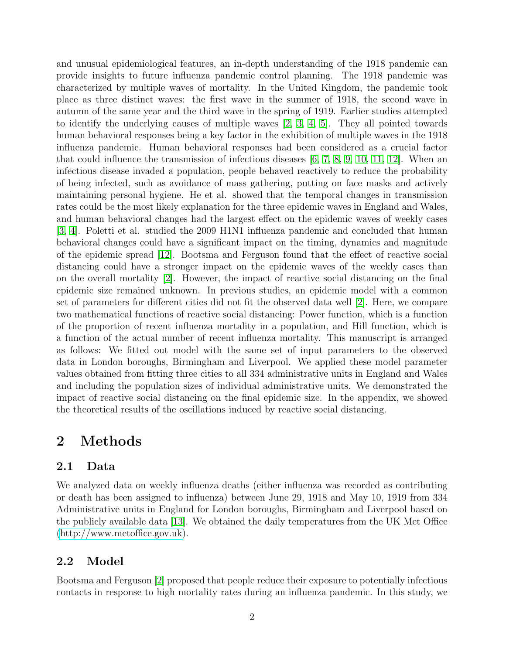and unusual epidemiological features, an in-depth understanding of the 1918 pandemic can provide insights to future influenza pandemic control planning. The 1918 pandemic was characterized by multiple waves of mortality. In the United Kingdom, the pandemic took place as three distinct waves: the first wave in the summer of 1918, the second wave in autumn of the same year and the third wave in the spring of 1919. Earlier studies attempted to identify the underlying causes of multiple waves  $[2, 3, 4, 5]$  $[2, 3, 4, 5]$  $[2, 3, 4, 5]$  $[2, 3, 4, 5]$ . They all pointed towards human behavioral responses being a key factor in the exhibition of multiple waves in the 1918 influenza pandemic. Human behavioral responses had been considered as a crucial factor that could influence the transmission of infectious diseases [\[6,](#page-10-2) [7,](#page-10-3) [8,](#page-10-4) [9,](#page-10-5) [10,](#page-10-6) [11,](#page-10-7) [12\]](#page-10-8). When an infectious disease invaded a population, people behaved reactively to reduce the probability of being infected, such as avoidance of mass gathering, putting on face masks and actively maintaining personal hygiene. He et al. showed that the temporal changes in transmission rates could be the most likely explanation for the three epidemic waves in England and Wales, and human behavioral changes had the largest effect on the epidemic waves of weekly cases [\[3,](#page-9-2) [4\]](#page-10-0). Poletti et al. studied the 2009 H1N1 influenza pandemic and concluded that human behavioral changes could have a significant impact on the timing, dynamics and magnitude of the epidemic spread [\[12\]](#page-10-8). Bootsma and Ferguson found that the effect of reactive social distancing could have a stronger impact on the epidemic waves of the weekly cases than on the overall mortality [\[2\]](#page-9-1). However, the impact of reactive social distancing on the final epidemic size remained unknown. In previous studies, an epidemic model with a common set of parameters for different cities did not fit the observed data well [\[2\]](#page-9-1). Here, we compare two mathematical functions of reactive social distancing: Power function, which is a function of the proportion of recent influenza mortality in a population, and Hill function, which is a function of the actual number of recent influenza mortality. This manuscript is arranged as follows: We fitted out model with the same set of input parameters to the observed data in London boroughs, Birmingham and Liverpool. We applied these model parameter values obtained from fitting three cities to all 334 administrative units in England and Wales and including the population sizes of individual administrative units. We demonstrated the impact of reactive social distancing on the final epidemic size. In the appendix, we showed the theoretical results of the oscillations induced by reactive social distancing.

# 2 Methods

### 2.1 Data

We analyzed data on weekly influenza deaths (either influenza was recorded as contributing or death has been assigned to influenza) between June 29, 1918 and May 10, 1919 from 334 Administrative units in England for London boroughs, Birmingham and Liverpool based on the publicly available data [\[13\]](#page-10-9). We obtained the daily temperatures from the UK Met Office [\(http://www.metoffice.gov.uk\)](http://www.metoffice.gov.uk).

### 2.2 Model

Bootsma and Ferguson [\[2\]](#page-9-1) proposed that people reduce their exposure to potentially infectious contacts in response to high mortality rates during an influenza pandemic. In this study, we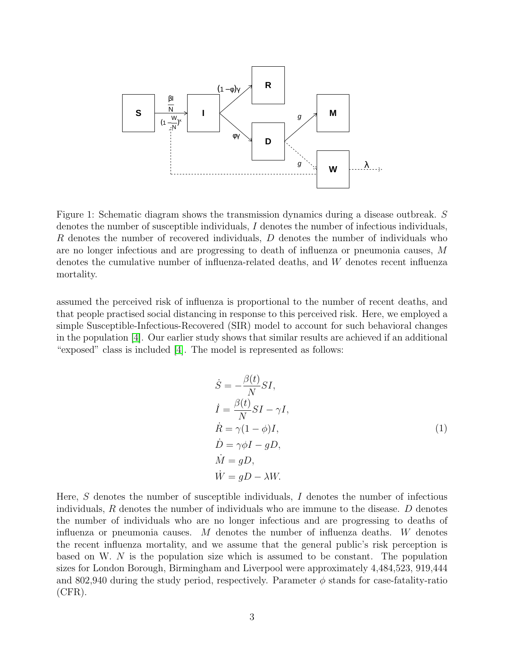

<span id="page-2-0"></span>Figure 1: Schematic diagram shows the transmission dynamics during a disease outbreak. S denotes the number of susceptible individuals, I denotes the number of infectious individuals, R denotes the number of recovered individuals, D denotes the number of individuals who are no longer infectious and are progressing to death of influenza or pneumonia causes, M denotes the cumulative number of influenza-related deaths, and W denotes recent influenza mortality.

assumed the perceived risk of influenza is proportional to the number of recent deaths, and that people practised social distancing in response to this perceived risk. Here, we employed a simple Susceptible-Infectious-Recovered (SIR) model to account for such behavioral changes in the population [\[4\]](#page-10-0). Our earlier study shows that similar results are achieved if an additional "exposed" class is included [\[4\]](#page-10-0). The model is represented as follows:

$$
\dot{S} = -\frac{\beta(t)}{N} SI,\n\dot{I} = \frac{\beta(t)}{N} SI - \gamma I,\n\dot{R} = \gamma (1 - \phi)I,\n\dot{D} = \gamma \phi I - gD,\n\dot{M} = gD,\n\dot{W} = gD - \lambda W.
$$
\n(1)

<span id="page-2-1"></span>Here, S denotes the number of susceptible individuals, I denotes the number of infectious individuals,  $R$  denotes the number of individuals who are immune to the disease.  $D$  denotes the number of individuals who are no longer infectious and are progressing to deaths of influenza or pneumonia causes. M denotes the number of influenza deaths. W denotes the recent influenza mortality, and we assume that the general public's risk perception is based on W. N is the population size which is assumed to be constant. The population sizes for London Borough, Birmingham and Liverpool were approximately 4,484,523, 919,444 and 802,940 during the study period, respectively. Parameter  $\phi$  stands for case-fatality-ratio (CFR).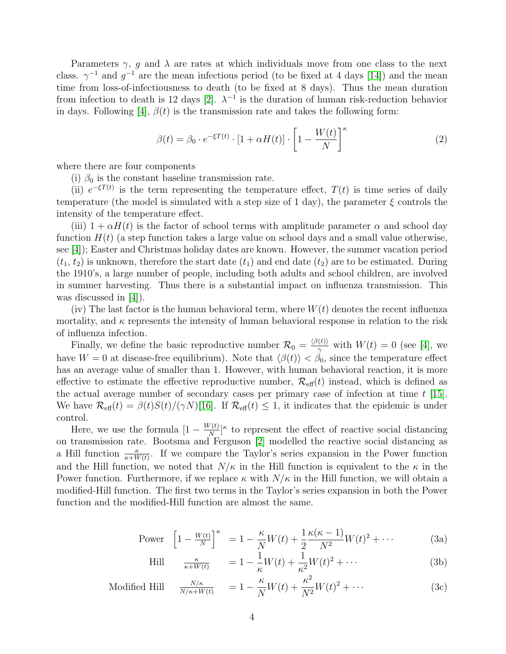Parameters  $\gamma$ , g and  $\lambda$  are rates at which individuals move from one class to the next class.  $\gamma^{-1}$  and  $g^{-1}$  are the mean infectious period (to be fixed at 4 days [\[14\]](#page-10-10)) and the mean time from loss-of-infectiousness to death (to be fixed at 8 days). Thus the mean duration from infection to death is 12 days [\[2\]](#page-9-1).  $\lambda^{-1}$  is the duration of human risk-reduction behavior in days. Following [\[4\]](#page-10-0),  $\beta(t)$  is the transmission rate and takes the following form:

$$
\beta(t) = \beta_0 \cdot e^{-\xi T(t)} \cdot \left[1 + \alpha H(t)\right] \cdot \left[1 - \frac{W(t)}{N}\right]^\kappa \tag{2}
$$

where there are four components

(i)  $\beta_0$  is the constant baseline transmission rate.

(ii)  $e^{-\xi T(t)}$  is the term representing the temperature effect,  $T(t)$  is time series of daily temperature (the model is simulated with a step size of 1 day), the parameter  $\xi$  controls the intensity of the temperature effect.

(iii)  $1 + \alpha H(t)$  is the factor of school terms with amplitude parameter  $\alpha$  and school day function  $H(t)$  (a step function takes a large value on school days and a small value otherwise, see [\[4\]](#page-10-0)); Easter and Christmas holiday dates are known. However, the summer vacation period  $(t_1, t_2)$  is unknown, therefore the start date  $(t_1)$  and end date  $(t_2)$  are to be estimated. During the 1910's, a large number of people, including both adults and school children, are involved in summer harvesting. Thus there is a substantial impact on influenza transmission. This was discussed in  $|4|$ ).

(iv) The last factor is the human behavioral term, where  $W(t)$  denotes the recent influenza mortality, and  $\kappa$  represents the intensity of human behavioral response in relation to the risk of influenza infection.

Finally, we define the basic reproductive number  $\mathcal{R}_0 = \frac{\langle \beta(t) \rangle}{\gamma}$  $\frac{\partial (t)}{\partial t}$  with  $W(t) = 0$  (see [\[4\]](#page-10-0), we have  $W = 0$  at disease-free equilibrium). Note that  $\langle \beta(t) \rangle < \beta_0$ , since the temperature effect has an average value of smaller than 1. However, with human behavioral reaction, it is more effective to estimate the effective reproductive number,  $\mathcal{R}_{\text{eff}}(t)$  instead, which is defined as the actual average number of secondary cases per primary case of infection at time  $t$  [\[15\]](#page-10-11). We have  $\mathcal{R}_{\text{eff}}(t) = \beta(t)S(t)/(\gamma N)[16]$  $\mathcal{R}_{\text{eff}}(t) = \beta(t)S(t)/(\gamma N)[16]$ . If  $\mathcal{R}_{\text{eff}}(t) \leq 1$ , it indicates that the epidemic is under control.

Here, we use the formula  $[1 - \frac{W(t)}{N}]$  $\frac{\sqrt{(t)}}{N}$ <sup>k</sup> to represent the effect of reactive social distancing on transmission rate. Bootsma and Ferguson [\[2\]](#page-9-1) modelled the reactive social distancing as a Hill function  $\frac{\kappa}{\kappa+W(t)}$ . If we compare the Taylor's series expansion in the Power function and the Hill function, we noted that  $N/\kappa$  in the Hill function is equivalent to the  $\kappa$  in the Power function. Furthermore, if we replace  $\kappa$  with  $N/\kappa$  in the Hill function, we will obtain a modified-Hill function. The first two terms in the Taylor's series expansion in both the Power function and the modified-Hill function are almost the same.

Power 
$$
\left[1 - \frac{W(t)}{N}\right]^{\kappa} = 1 - \frac{\kappa}{N}W(t) + \frac{1}{2}\frac{\kappa(\kappa - 1)}{N^2}W(t)^2 + \cdots
$$
 (3a)

$$
\text{Hill} \qquad \frac{\kappa}{\kappa + W(t)} \qquad = 1 - \frac{1}{\kappa} W(t) + \frac{1}{\kappa^2} W(t)^2 + \cdots \tag{3b}
$$

$$
\text{Modified Hill} \quad \frac{N/\kappa}{N/\kappa + W(t)} \quad = 1 - \frac{\kappa}{N} W(t) + \frac{\kappa^2}{N^2} W(t)^2 + \dots \tag{3c}
$$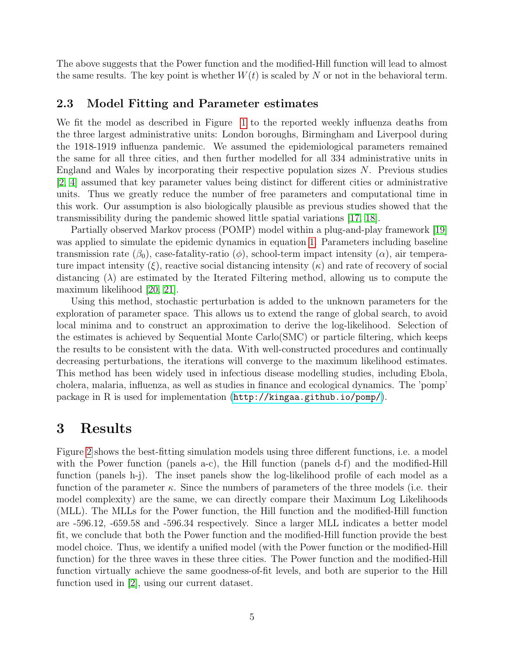The above suggests that the Power function and the modified-Hill function will lead to almost the same results. The key point is whether  $W(t)$  is scaled by N or not in the behavioral term.

#### 2.3 Model Fitting and Parameter estimates

We fit the model as described in Figure [1](#page-2-0) to the reported weekly influenza deaths from the three largest administrative units: London boroughs, Birmingham and Liverpool during the 1918-1919 influenza pandemic. We assumed the epidemiological parameters remained the same for all three cities, and then further modelled for all 334 administrative units in England and Wales by incorporating their respective population sizes N. Previous studies [\[2,](#page-9-1) [4\]](#page-10-0) assumed that key parameter values being distinct for different cities or administrative units. Thus we greatly reduce the number of free parameters and computational time in this work. Our assumption is also biologically plausible as previous studies showed that the transmissibility during the pandemic showed little spatial variations [\[17,](#page-10-13) [18\]](#page-10-14).

Partially observed Markov process (POMP) model within a plug-and-play framework [\[19\]](#page-10-15) was applied to simulate the epidemic dynamics in equation [1.](#page-2-1) Parameters including baseline transmission rate  $(\beta_0)$ , case-fatality-ratio  $(\phi)$ , school-term impact intensity  $(\alpha)$ , air temperature impact intensity  $(\xi)$ , reactive social distancing intensity  $(\kappa)$  and rate of recovery of social distancing  $(\lambda)$  are estimated by the Iterated Filtering method, allowing us to compute the maximum likelihood [\[20,](#page-10-16) [21\]](#page-10-17).

Using this method, stochastic perturbation is added to the unknown parameters for the exploration of parameter space. This allows us to extend the range of global search, to avoid local minima and to construct an approximation to derive the log-likelihood. Selection of the estimates is achieved by Sequential Monte Carlo(SMC) or particle filtering, which keeps the results to be consistent with the data. With well-constructed procedures and continually decreasing perturbations, the iterations will converge to the maximum likelihood estimates. This method has been widely used in infectious disease modelling studies, including Ebola, cholera, malaria, influenza, as well as studies in finance and ecological dynamics. The 'pomp' package in R is used for implementation (<http://kingaa.github.io/pomp/>).

# 3 Results

Figure [2](#page-6-0) shows the best-fitting simulation models using three different functions, i.e. a model with the Power function (panels a-c), the Hill function (panels d-f) and the modified-Hill function (panels h-j). The inset panels show the log-likelihood profile of each model as a function of the parameter  $\kappa$ . Since the numbers of parameters of the three models (i.e. their model complexity) are the same, we can directly compare their Maximum Log Likelihoods (MLL). The MLLs for the Power function, the Hill function and the modified-Hill function are -596.12, -659.58 and -596.34 respectively. Since a larger MLL indicates a better model fit, we conclude that both the Power function and the modified-Hill function provide the best model choice. Thus, we identify a unified model (with the Power function or the modified-Hill function) for the three waves in these three cities. The Power function and the modified-Hill function virtually achieve the same goodness-of-fit levels, and both are superior to the Hill function used in [\[2\]](#page-9-1), using our current dataset.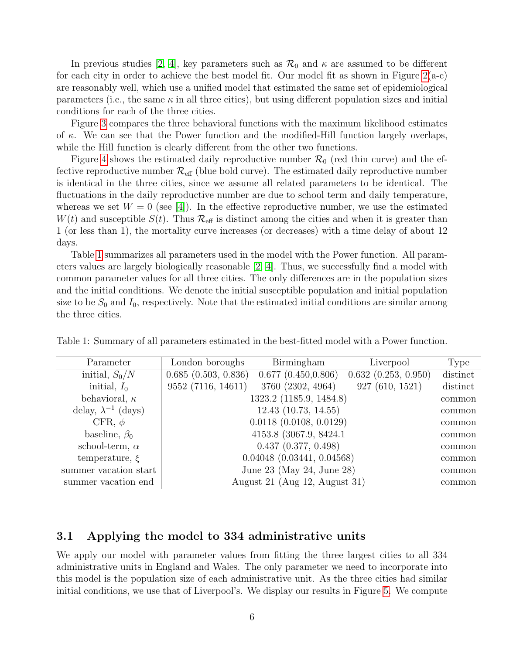In previous studies [\[2,](#page-9-1) [4\]](#page-10-0), key parameters such as  $\mathcal{R}_0$  and  $\kappa$  are assumed to be different for each city in order to achieve the best model fit. Our model fit as shown in Figure [2\(](#page-6-0)a-c) are reasonably well, which use a unified model that estimated the same set of epidemiological parameters (i.e., the same  $\kappa$  in all three cities), but using different population sizes and initial conditions for each of the three cities.

Figure [3](#page-7-0) compares the three behavioral functions with the maximum likelihood estimates of  $\kappa$ . We can see that the Power function and the modified-Hill function largely overlaps, while the Hill function is clearly different from the other two functions.

Figure [4](#page-7-1) shows the estimated daily reproductive number  $\mathcal{R}_0$  (red thin curve) and the effective reproductive number  $\mathcal{R}_{\text{eff}}$  (blue bold curve). The estimated daily reproductive number is identical in the three cities, since we assume all related parameters to be identical. The fluctuations in the daily reproductive number are due to school term and daily temperature, whereas we set  $W = 0$  (see [\[4\]](#page-10-0)). In the effective reproductive number, we use the estimated  $W(t)$  and susceptible  $S(t)$ . Thus  $\mathcal{R}_{\text{eff}}$  is distinct among the cities and when it is greater than 1 (or less than 1), the mortality curve increases (or decreases) with a time delay of about 12 days.

Table [1](#page-5-0) summarizes all parameters used in the model with the Power function. All parameters values are largely biologically reasonable [\[2,](#page-9-1) [4\]](#page-10-0). Thus, we successfully find a model with common parameter values for all three cities. The only differences are in the population sizes and the initial conditions. We denote the initial susceptible population and initial population size to be  $S_0$  and  $I_0$ , respectively. Note that the estimated initial conditions are similar among the three cities.

<span id="page-5-0"></span>

|  |  |  | Table 1: Summary of all parameters estimated in the best-fitted model with a Power function. |
|--|--|--|----------------------------------------------------------------------------------------------|
|  |  |  |                                                                                              |

| Parameter                    | London boroughs     | Birmingham                     | Liverpool           | Type     |
|------------------------------|---------------------|--------------------------------|---------------------|----------|
| initial, $S_0/N$             | 0.685(0.503, 0.836) | 0.677(0.450, 0.806)            | 0.632(0.253, 0.950) | distinct |
| initial, $I_0$               | 9552 (7116, 14611)  | 3760 (2302, 4964)              | 927(610, 1521)      | distinct |
| behavioral, $\kappa$         |                     | 1323.2 (1185.9, 1484.8)        |                     | common   |
| delay, $\lambda^{-1}$ (days) |                     | 12.43(10.73, 14.55)            |                     | common   |
| CFR, $\phi$                  |                     | $0.0118$ $(0.0108, 0.0129)$    |                     | common   |
| baseline, $\beta_0$          |                     | 4153.8 (3067.9, 8424.1)        |                     | common   |
| school-term, $\alpha$        |                     | 0.437(0.377, 0.498)            |                     | common   |
| temperature, $\xi$           |                     | $0.04048$ $(0.03441, 0.04568)$ |                     | common   |
| summer vacation start        |                     | June 23 (May 24, June 28)      |                     | common   |
| summer vacation end          |                     | August 21 (Aug 12, August 31)  |                     | common   |

#### 3.1 Applying the model to 334 administrative units

We apply our model with parameter values from fitting the three largest cities to all 334 administrative units in England and Wales. The only parameter we need to incorporate into this model is the population size of each administrative unit. As the three cities had similar initial conditions, we use that of Liverpool's. We display our results in Figure [5.](#page-8-0) We compute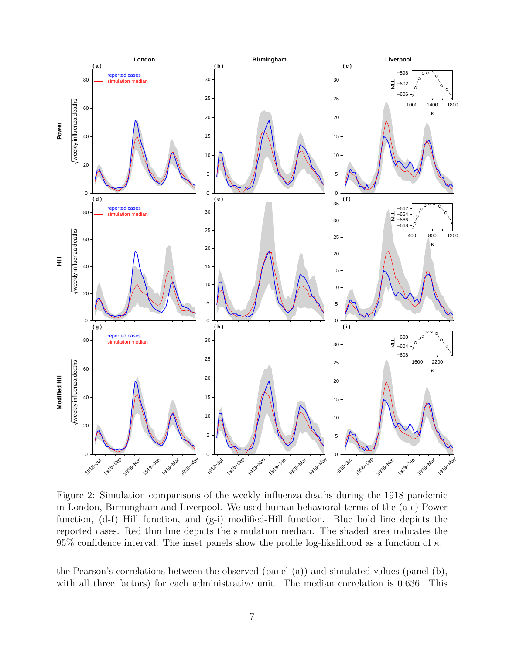

<span id="page-6-0"></span>Figure 2: Simulation comparisons of the weekly influenza deaths during the 1918 pandemic in London, Birmingham and Liverpool. We used human behavioral terms of the (a-c) Power function, (d-f) Hill function, and (g-i) modified-Hill function. Blue bold line depicts the reported cases. Red thin line depicts the simulation median. The shaded area indicates the 95% confidence interval. The inset panels show the profile log-likelihood as a function of  $\kappa$ .

the Pearson's correlations between the observed (panel (a)) and simulated values (panel (b), with all three factors) for each administrative unit. The median correlation is 0.636. This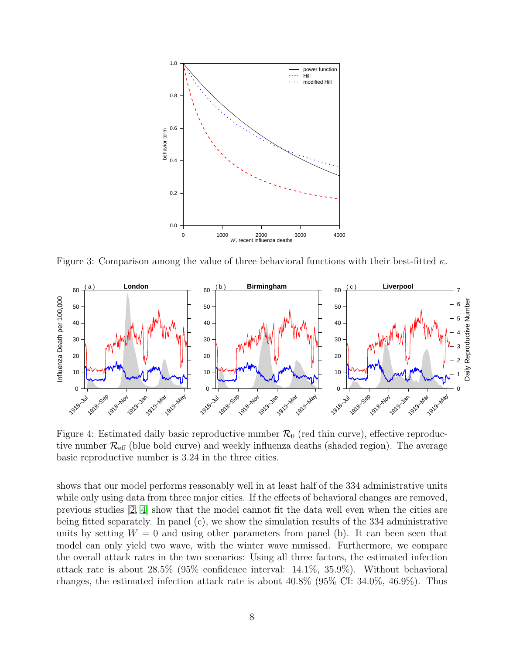

<span id="page-7-0"></span>Figure 3: Comparison among the value of three behavioral functions with their best-fitted  $\kappa$ .



<span id="page-7-1"></span>Figure 4: Estimated daily basic reproductive number  $\mathcal{R}_0$  (red thin curve), effective reproductive number  $\mathcal{R}_{\text{eff}}$  (blue bold curve) and weekly influenza deaths (shaded region). The average basic reproductive number is 3.24 in the three cities.

shows that our model performs reasonably well in at least half of the 334 administrative units while only using data from three major cities. If the effects of behavioral changes are removed, previous studies [\[2,](#page-9-1) [4\]](#page-10-0) show that the model cannot fit the data well even when the cities are being fitted separately. In panel (c), we show the simulation results of the 334 administrative units by setting  $W = 0$  and using other parameters from panel (b). It can been seen that model can only yield two wave, with the winter wave mmissed. Furthermore, we compare the overall attack rates in the two scenarios: Using all three factors, the estimated infection attack rate is about 28.5% (95% confidence interval: 14.1%, 35.9%). Without behavioral changes, the estimated infection attack rate is about 40.8% (95% CI: 34.0%, 46.9%). Thus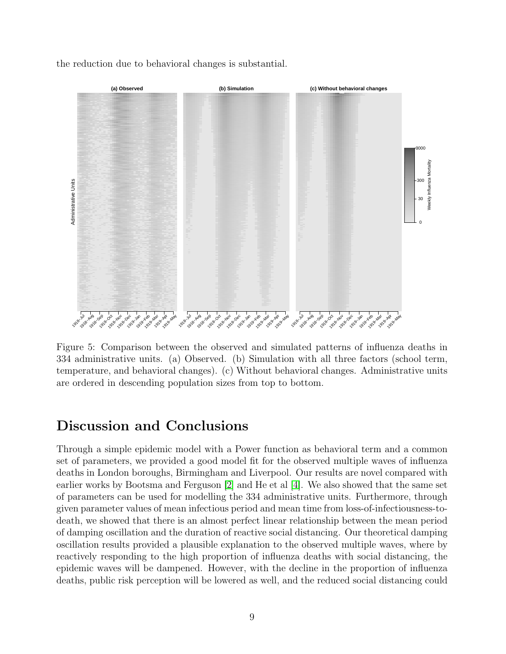the reduction due to behavioral changes is substantial.



<span id="page-8-0"></span>Figure 5: Comparison between the observed and simulated patterns of influenza deaths in 334 administrative units. (a) Observed. (b) Simulation with all three factors (school term, temperature, and behavioral changes). (c) Without behavioral changes. Administrative units are ordered in descending population sizes from top to bottom.

# Discussion and Conclusions

Through a simple epidemic model with a Power function as behavioral term and a common set of parameters, we provided a good model fit for the observed multiple waves of influenza deaths in London boroughs, Birmingham and Liverpool. Our results are novel compared with earlier works by Bootsma and Ferguson [\[2\]](#page-9-1) and He et al [\[4\]](#page-10-0). We also showed that the same set of parameters can be used for modelling the 334 administrative units. Furthermore, through given parameter values of mean infectious period and mean time from loss-of-infectiousness-todeath, we showed that there is an almost perfect linear relationship between the mean period of damping oscillation and the duration of reactive social distancing. Our theoretical damping oscillation results provided a plausible explanation to the observed multiple waves, where by reactively responding to the high proportion of influenza deaths with social distancing, the epidemic waves will be dampened. However, with the decline in the proportion of influenza deaths, public risk perception will be lowered as well, and the reduced social distancing could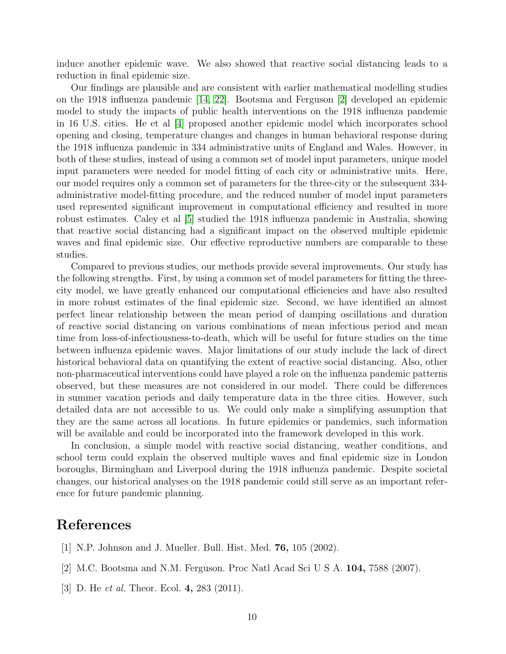induce another epidemic wave. We also showed that reactive social distancing leads to a reduction in final epidemic size.

Our findings are plausible and are consistent with earlier mathematical modelling studies on the 1918 influenza pandemic [\[14,](#page-10-10) [22\]](#page-10-18). Bootsma and Ferguson [\[2\]](#page-9-1) developed an epidemic model to study the impacts of public health interventions on the 1918 influenza pandemic in 16 U.S. cities. He et al [\[4\]](#page-10-0) proposed another epidemic model which incorporates school opening and closing, temperature changes and changes in human behavioral response during the 1918 influenza pandemic in 334 administrative units of England and Wales. However, in both of these studies, instead of using a common set of model input parameters, unique model input parameters were needed for model fitting of each city or administrative units. Here, our model requires only a common set of parameters for the three-city or the subsequent 334 administrative model-fitting procedure, and the reduced number of model input parameters used represented significant improvement in computational efficiency and resulted in more robust estimates. Caley et al [\[5\]](#page-10-1) studied the 1918 influenza pandemic in Australia, showing that reactive social distancing had a significant impact on the observed multiple epidemic waves and final epidemic size. Our effective reproductive numbers are comparable to these studies.

Compared to previous studies, our methods provide several improvements. Our study has the following strengths. First, by using a common set of model parameters for fitting the threecity model, we have greatly enhanced our computational efficiencies and have also resulted in more robust estimates of the final epidemic size. Second, we have identified an almost perfect linear relationship between the mean period of damping oscillations and duration of reactive social distancing on various combinations of mean infectious period and mean time from loss-of-infectiousness-to-death, which will be useful for future studies on the time between influenza epidemic waves. Major limitations of our study include the lack of direct historical behavioral data on quantifying the extent of reactive social distancing. Also, other non-pharmaceutical interventions could have played a role on the influenza pandemic patterns observed, but these measures are not considered in our model. There could be differences in summer vacation periods and daily temperature data in the three cities. However, such detailed data are not accessible to us. We could only make a simplifying assumption that they are the same across all locations. In future epidemics or pandemics, such information will be available and could be incorporated into the framework developed in this work.

In conclusion, a simple model with reactive social distancing, weather conditions, and school term could explain the observed multiple waves and final epidemic size in London boroughs, Birmingham and Liverpool during the 1918 influenza pandemic. Despite societal changes, our historical analyses on the 1918 pandemic could still serve as an important reference for future pandemic planning.

# References

- <span id="page-9-0"></span>[1] N.P. Johnson and J. Mueller. Bull. Hist. Med. 76, 105 (2002).
- <span id="page-9-1"></span>[2] M.C. Bootsma and N.M. Ferguson. Proc Natl Acad Sci U S A. 104, 7588 (2007).
- <span id="page-9-2"></span>[3] D. He *et al.* Theor. Ecol. 4, 283 (2011).